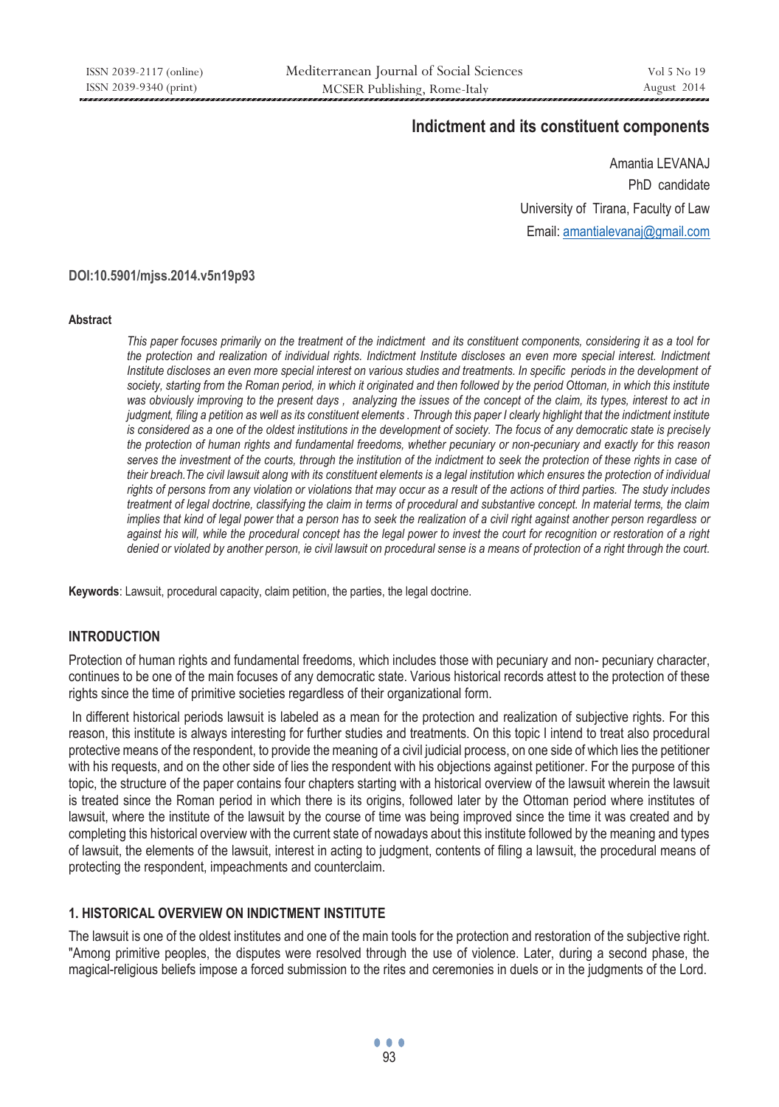# **Indictment and its constituent components**

 Amantia LEVANAJ PhD candidate University of Tirana, Faculty of Law Email: amantialevanaj@gmail.com

#### **DOI:10.5901/mjss.2014.v5n19p93**

#### **Abstract**

*This paper focuses primarily on the treatment of the indictment and its constituent components, considering it as a tool for the protection and realization of individual rights. Indictment Institute discloses an even more special interest. Indictment Institute discloses an even more special interest on various studies and treatments. In specific periods in the development of* society, starting from the Roman period, in which it originated and then followed by the period Ottoman, in which this institute *was obviously improving to the present days , analyzing the issues of the concept of the claim, its types, interest to act in judgment, filing a petition as well as its constituent elements . Through this paper I clearly highlight that the indictment institute is considered as a one of the oldest institutions in the development of society. The focus of any democratic state is precisely the protection of human rights and fundamental freedoms, whether pecuniary or non-pecuniary and exactly for this reason serves the investment of the courts, through the institution of the indictment to seek the protection of these rights in case of their breach.The civil lawsuit along with its constituent elements is a legal institution which ensures the protection of individual rights of persons from any violation or violations that may occur as a result of the actions of third parties. The study includes treatment of legal doctrine, classifying the claim in terms of procedural and substantive concept. In material terms, the claim implies that kind of legal power that a person has to seek the realization of a civil right against another person regardless or against his will, while the procedural concept has the legal power to invest the court for recognition or restoration of a right denied or violated by another person, ie civil lawsuit on procedural sense is a means of protection of a right through the court.* 

**Keywords**: Lawsuit, procedural capacity, claim petition, the parties, the legal doctrine.

### **INTRODUCTION**

Protection of human rights and fundamental freedoms, which includes those with pecuniary and non- pecuniary character, continues to be one of the main focuses of any democratic state. Various historical records attest to the protection of these rights since the time of primitive societies regardless of their organizational form.

 In different historical periods lawsuit is labeled as a mean for the protection and realization of subjective rights. For this reason, this institute is always interesting for further studies and treatments. On this topic I intend to treat also procedural protective means of the respondent, to provide the meaning of a civil judicial process, on one side of which lies the petitioner with his requests, and on the other side of lies the respondent with his objections against petitioner. For the purpose of this topic, the structure of the paper contains four chapters starting with a historical overview of the lawsuit wherein the lawsuit is treated since the Roman period in which there is its origins, followed later by the Ottoman period where institutes of lawsuit, where the institute of the lawsuit by the course of time was being improved since the time it was created and by completing this historical overview with the current state of nowadays about this institute followed by the meaning and types of lawsuit, the elements of the lawsuit, interest in acting to judgment, contents of filing a lawsuit, the procedural means of protecting the respondent, impeachments and counterclaim.

## **1. HISTORICAL OVERVIEW ON INDICTMENT INSTITUTE**

The lawsuit is one of the oldest institutes and one of the main tools for the protection and restoration of the subjective right. "Among primitive peoples, the disputes were resolved through the use of violence. Later, during a second phase, the magical-religious beliefs impose a forced submission to the rites and ceremonies in duels or in the judgments of the Lord.

... <u>93 and 200 and 200 and 200 and 200 and 200 and 200 and 200 and 200 and 200 and 200 and 200 and 200 and 200 and 200 and 200 and 200 and 200 and 200 and 200 and 200 and 200 and 200 and 200 and 200 and 200 and 200 and 200 an</u>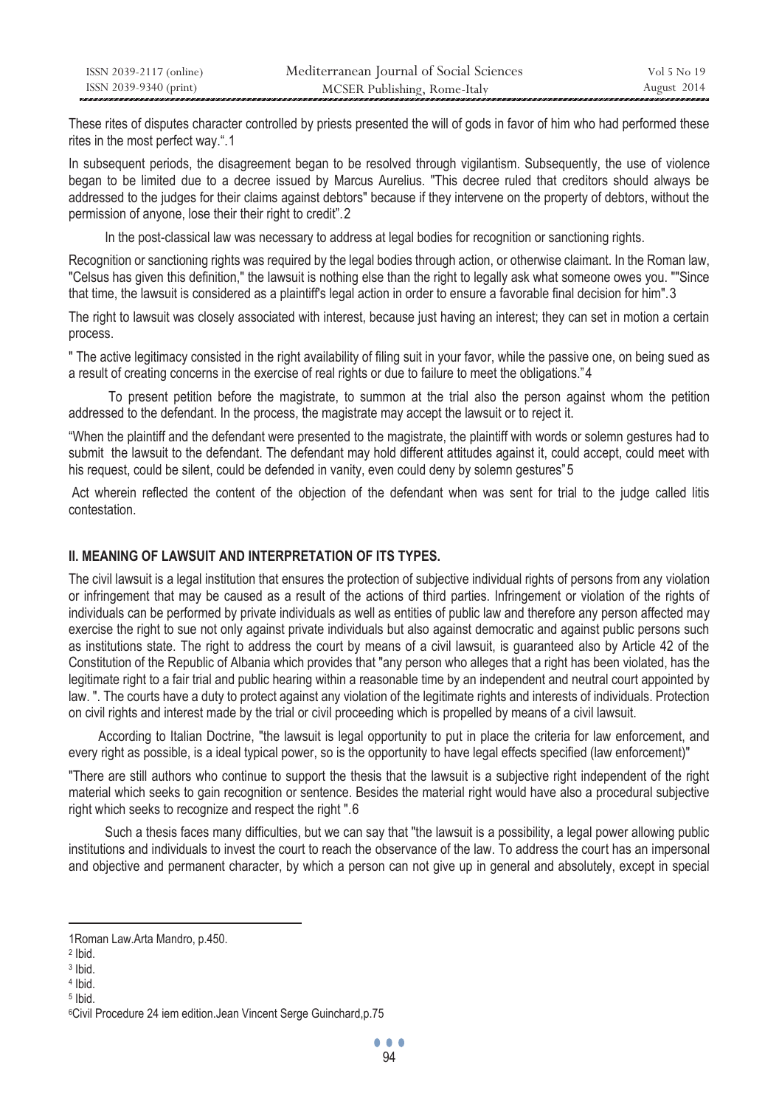| ISSN 2039-2117 (online) | Mediterranean Journal of Social Sciences | Vol 5 No 19 |
|-------------------------|------------------------------------------|-------------|
| ISSN 2039-9340 (print)  | MCSER Publishing, Rome-Italy             | August 2014 |

These rites of disputes character controlled by priests presented the will of gods in favor of him who had performed these rites in the most perfect way.".1

In subsequent periods, the disagreement began to be resolved through vigilantism. Subsequently, the use of violence began to be limited due to a decree issued by Marcus Aurelius. "This decree ruled that creditors should always be addressed to the judges for their claims against debtors" because if they intervene on the property of debtors, without the permission of anyone, lose their their right to credit".2

In the post-classical law was necessary to address at legal bodies for recognition or sanctioning rights.

Recognition or sanctioning rights was required by the legal bodies through action, or otherwise claimant. In the Roman law, "Celsus has given this definition," the lawsuit is nothing else than the right to legally ask what someone owes you. ""Since that time, the lawsuit is considered as a plaintiff's legal action in order to ensure a favorable final decision for him".3

The right to lawsuit was closely associated with interest, because just having an interest; they can set in motion a certain process.

" The active legitimacy consisted in the right availability of filing suit in your favor, while the passive one, on being sued as a result of creating concerns in the exercise of real rights or due to failure to meet the obligations."4

 To present petition before the magistrate, to summon at the trial also the person against whom the petition addressed to the defendant. In the process, the magistrate may accept the lawsuit or to reject it.

"When the plaintiff and the defendant were presented to the magistrate, the plaintiff with words or solemn gestures had to submit the lawsuit to the defendant. The defendant may hold different attitudes against it, could accept, could meet with his request, could be silent, could be defended in vanity, even could deny by solemn gestures"5

 Act wherein reflected the content of the objection of the defendant when was sent for trial to the judge called litis contestation.

### **II. MEANING OF LAWSUIT AND INTERPRETATION OF ITS TYPES.**

The civil lawsuit is a legal institution that ensures the protection of subjective individual rights of persons from any violation or infringement that may be caused as a result of the actions of third parties. Infringement or violation of the rights of individuals can be performed by private individuals as well as entities of public law and therefore any person affected may exercise the right to sue not only against private individuals but also against democratic and against public persons such as institutions state. The right to address the court by means of a civil lawsuit, is guaranteed also by Article 42 of the Constitution of the Republic of Albania which provides that "any person who alleges that a right has been violated, has the legitimate right to a fair trial and public hearing within a reasonable time by an independent and neutral court appointed by law. ". The courts have a duty to protect against any violation of the legitimate rights and interests of individuals. Protection on civil rights and interest made by the trial or civil proceeding which is propelled by means of a civil lawsuit.

 According to Italian Doctrine, "the lawsuit is legal opportunity to put in place the criteria for law enforcement, and every right as possible, is a ideal typical power, so is the opportunity to have legal effects specified (law enforcement)"

"There are still authors who continue to support the thesis that the lawsuit is a subjective right independent of the right material which seeks to gain recognition or sentence. Besides the material right would have also a procedural subjective right which seeks to recognize and respect the right ".6

 Such a thesis faces many difficulties, but we can say that "the lawsuit is a possibility, a legal power allowing public institutions and individuals to invest the court to reach the observance of the law. To address the court has an impersonal and objective and permanent character, by which a person can not give up in general and absolutely, except in special

 $\overline{a}$ 

<sup>1</sup>Roman Law.Arta Mandro, p.450.

<sup>2</sup> Ibid.

<sup>3</sup> Ibid. 4 Ibid.

<sup>5</sup> Ibid.

<sup>6</sup>Civil Procedure 24 iem edition.Jean Vincent Serge Guinchard,p.75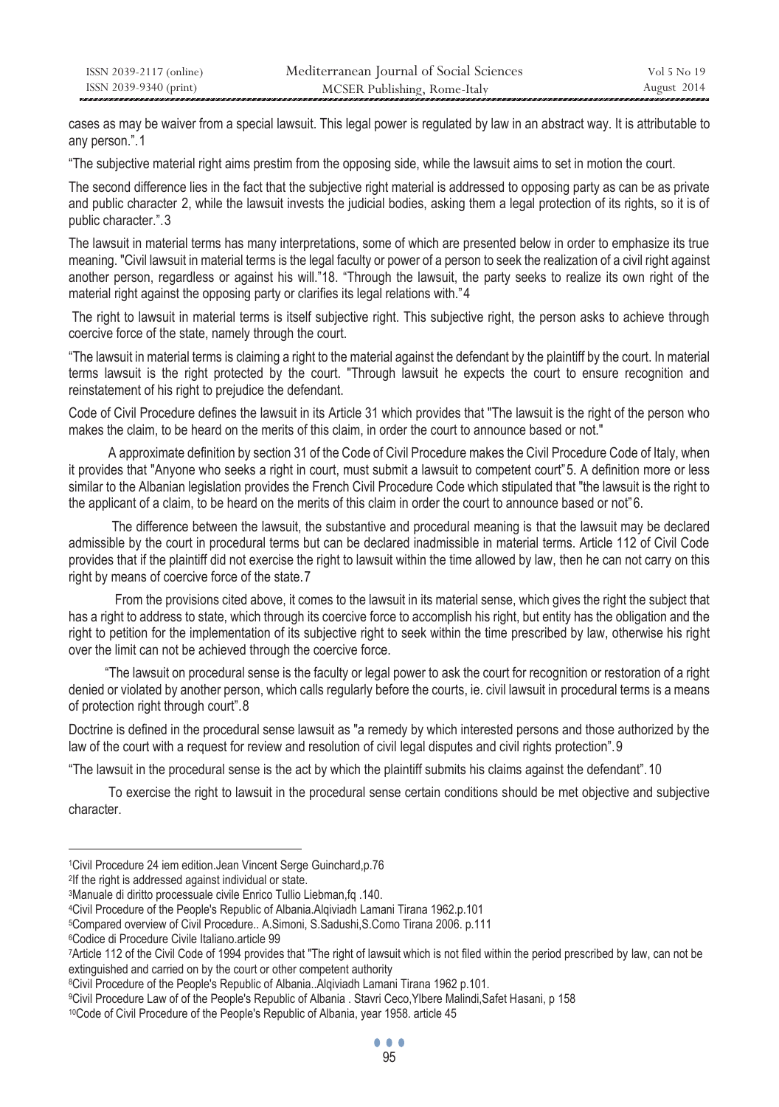| ISSN 2039-2117 (online) | Mediterranean Journal of Social Sciences | Vol 5 No 19 |
|-------------------------|------------------------------------------|-------------|
| ISSN 2039-9340 (print)  | MCSER Publishing, Rome-Italy             | August 2014 |

cases as may be waiver from a special lawsuit. This legal power is regulated by law in an abstract way. It is attributable to any person.".1

"The subjective material right aims prestim from the opposing side, while the lawsuit aims to set in motion the court.

The second difference lies in the fact that the subjective right material is addressed to opposing party as can be as private and public character 2, while the lawsuit invests the judicial bodies, asking them a legal protection of its rights, so it is of public character.".3

The lawsuit in material terms has many interpretations, some of which are presented below in order to emphasize its true meaning. "Civil lawsuit in material terms is the legal faculty or power of a person to seek the realization of a civil right against another person, regardless or against his will."18. "Through the lawsuit, the party seeks to realize its own right of the material right against the opposing party or clarifies its legal relations with."4

 The right to lawsuit in material terms is itself subjective right. This subjective right, the person asks to achieve through coercive force of the state, namely through the court.

"The lawsuit in material terms is claiming a right to the material against the defendant by the plaintiff by the court. In material terms lawsuit is the right protected by the court. "Through lawsuit he expects the court to ensure recognition and reinstatement of his right to prejudice the defendant.

Code of Civil Procedure defines the lawsuit in its Article 31 which provides that "The lawsuit is the right of the person who makes the claim, to be heard on the merits of this claim, in order the court to announce based or not."

 A approximate definition by section 31 of the Code of Civil Procedure makes the Civil Procedure Code of Italy, when it provides that "Anyone who seeks a right in court, must submit a lawsuit to competent court" 5. A definition more or less similar to the Albanian legislation provides the French Civil Procedure Code which stipulated that "the lawsuit is the right to the applicant of a claim, to be heard on the merits of this claim in order the court to announce based or not"6.

 The difference between the lawsuit, the substantive and procedural meaning is that the lawsuit may be declared admissible by the court in procedural terms but can be declared inadmissible in material terms. Article 112 of Civil Code provides that if the plaintiff did not exercise the right to lawsuit within the time allowed by law, then he can not carry on this right by means of coercive force of the state.7

 From the provisions cited above, it comes to the lawsuit in its material sense, which gives the right the subject that has a right to address to state, which through its coercive force to accomplish his right, but entity has the obligation and the right to petition for the implementation of its subjective right to seek within the time prescribed by law, otherwise his right over the limit can not be achieved through the coercive force.

 "The lawsuit on procedural sense is the faculty or legal power to ask the court for recognition or restoration of a right denied or violated by another person, which calls regularly before the courts, ie. civil lawsuit in procedural terms is a means of protection right through court".8

Doctrine is defined in the procedural sense lawsuit as "a remedy by which interested persons and those authorized by the law of the court with a request for review and resolution of civil legal disputes and civil rights protection". 9

"The lawsuit in the procedural sense is the act by which the plaintiff submits his claims against the defendant". 10

 To exercise the right to lawsuit in the procedural sense certain conditions should be met objective and subjective character.

 $\overline{a}$ 

<sup>1</sup>Civil Procedure 24 iem edition.Jean Vincent Serge Guinchard,p.76<br>
<sup>2</sup>If the right is addressed against individual or state.<br>
<sup>3</sup>Manuale di diritto processuale civile Enrico Tullio Liebman,fq .140.<br>
<sup>4</sup>Civil Procedure of t

<sup>7</sup>Article 112 of the Civil Code of 1994 provides that "The right of lawsuit which is not filed within the period prescribed by law, can not be extinguished and carried on by the court or other competent authority<br>
<sup>8</sup>Civil Procedure of the People's Republic of Albania..Alqiviadh Lamani Tirana 1962 p.101.<br>
<sup>9</sup>Civil Procedure Law of of the People's Republic of Alba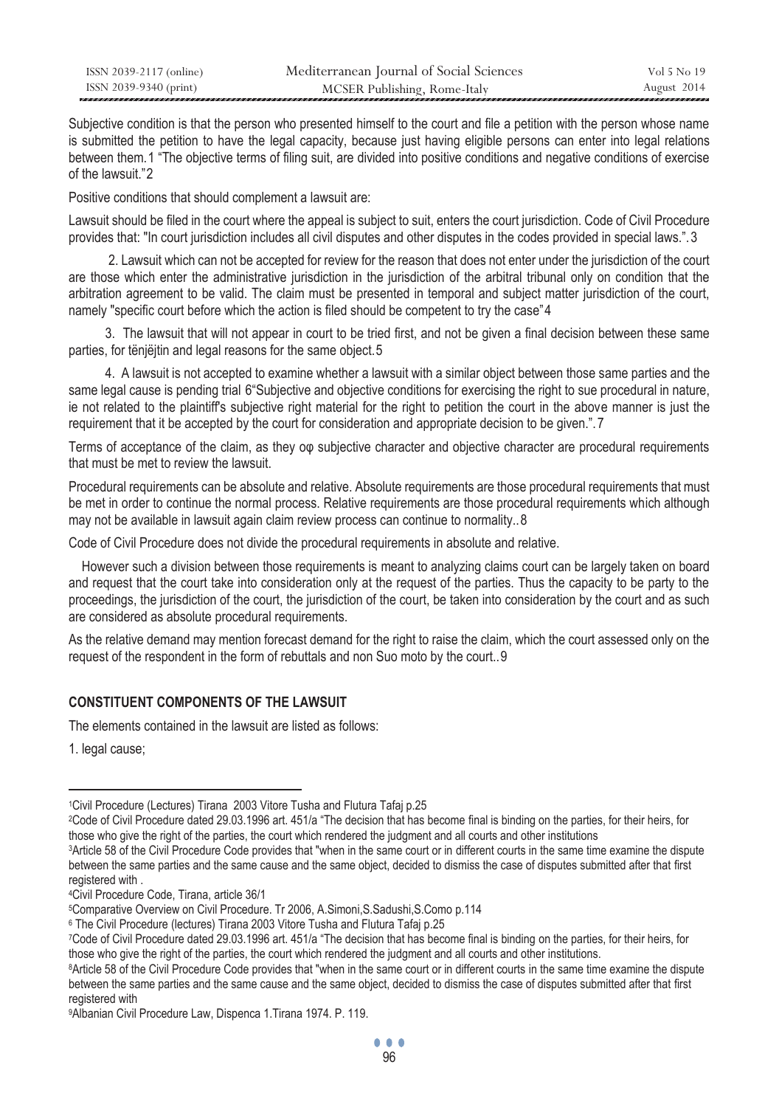| ISSN 2039-2117 (online) | Mediterranean Journal of Social Sciences | Vol 5 No 19 |
|-------------------------|------------------------------------------|-------------|
| ISSN 2039-9340 (print)  | MCSER Publishing, Rome-Italy             | August 2014 |

Subjective condition is that the person who presented himself to the court and file a petition with the person whose name is submitted the petition to have the legal capacity, because just having eligible persons can enter into legal relations between them.1 "The objective terms of filing suit, are divided into positive conditions and negative conditions of exercise of the lawsuit."2

Positive conditions that should complement a lawsuit are:

Lawsuit should be filed in the court where the appeal is subject to suit, enters the court jurisdiction. Code of Civil Procedure provides that: "In court jurisdiction includes all civil disputes and other disputes in the codes provided in special laws.". 3

 2. Lawsuit which can not be accepted for review for the reason that does not enter under the jurisdiction of the court are those which enter the administrative jurisdiction in the jurisdiction of the arbitral tribunal only on condition that the arbitration agreement to be valid. The claim must be presented in temporal and subject matter jurisdiction of the court, namely "specific court before which the action is filed should be competent to try the case"4

 3. The lawsuit that will not appear in court to be tried first, and not be given a final decision between these same parties, for tënjëjtin and legal reasons for the same object.5

 4. A lawsuit is not accepted to examine whether a lawsuit with a similar object between those same parties and the same legal cause is pending trial 6"Subjective and objective conditions for exercising the right to sue procedural in nature, ie not related to the plaintiff's subjective right material for the right to petition the court in the above manner is just the requirement that it be accepted by the court for consideration and appropriate decision to be given.". 7

Terms of acceptance of the claim, as they οφ subjective character and objective character are procedural requirements that must be met to review the lawsuit.

Procedural requirements can be absolute and relative. Absolute requirements are those procedural requirements that must be met in order to continue the normal process. Relative requirements are those procedural requirements which although may not be available in lawsuit again claim review process can continue to normality..8

Code of Civil Procedure does not divide the procedural requirements in absolute and relative.

 However such a division between those requirements is meant to analyzing claims court can be largely taken on board and request that the court take into consideration only at the request of the parties. Thus the capacity to be party to the proceedings, the jurisdiction of the court, the jurisdiction of the court, be taken into consideration by the court and as such are considered as absolute procedural requirements.

As the relative demand may mention forecast demand for the right to raise the claim, which the court assessed only on the request of the respondent in the form of rebuttals and non Suo moto by the court..9

### **CONSTITUENT COMPONENTS OF THE LAWSUIT**

The elements contained in the lawsuit are listed as follows:

1. legal cause;

1Civil Procedure (Lectures) Tirana 2003 Vitore Tusha and Flutura Tafaj p.25<br><sup>2</sup>Code of Civil Procedure dated 29.03.1996 art. 451/a "The decision that has become final is binding on the parties, for their heirs, for<br>those w

 $\overline{a}$ 

<sup>3</sup>Article 58 of the Civil Procedure Code provides that "when in the same court or in different courts in the same time examine the dispute between the same parties and the same cause and the same object, decided to dismiss the case of disputes submitted after that first registered with.

<sup>&</sup>lt;sup>4</sup>Civil Procedure Code, Tirana, article 36/1<br><sup>5</sup>Comparative Overview on Civil Procedure. Tr 2006, A.Simoni,S.Sadushi,S.Como p.114<br><sup>6</sup> The Civil Procedure (lectures) Tirana 2003 Vitore Tusha and Flutura Tafaj p.25<br><sup>7</sup>Code those who give the right of the parties, the court which rendered the judgment and all courts and other institutions.<br><sup>8</sup>Article 58 of the Civil Procedure Code provides that "when in the same court or in different courts i

between the same parties and the same cause and the same object, decided to dismiss the case of disputes submitted after that first registered with

<sup>9</sup>Albanian Civil Procedure Law, Dispenca 1.Tirana 1974. P. 119.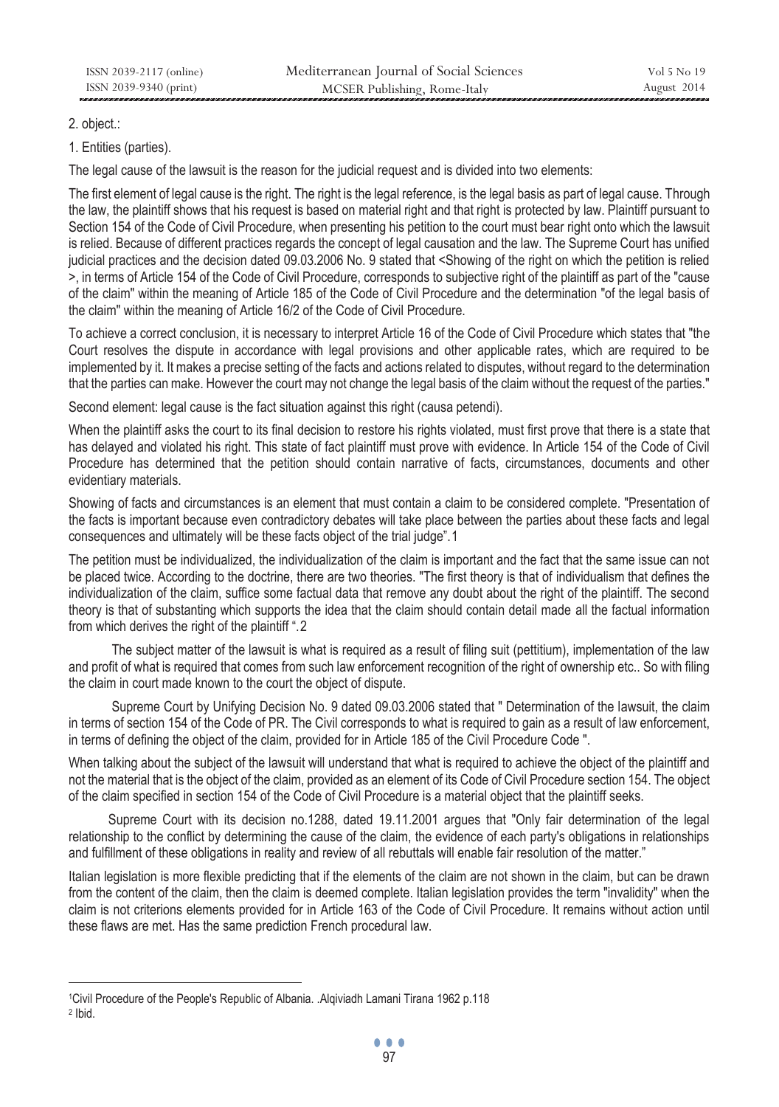## 2. object.:

1. Entities (parties).

The legal cause of the lawsuit is the reason for the judicial request and is divided into two elements:

The first element of legal cause is the right. The right is the legal reference, is the legal basis as part of legal cause. Through the law, the plaintiff shows that his request is based on material right and that right is protected by law. Plaintiff pursuant to Section 154 of the Code of Civil Procedure, when presenting his petition to the court must bear right onto which the lawsuit is relied. Because of different practices regards the concept of legal causation and the law. The Supreme Court has unified judicial practices and the decision dated 09.03.2006 No. 9 stated that <Showing of the right on which the petition is relied >, in terms of Article 154 of the Code of Civil Procedure, corresponds to subjective right of the plaintiff as part of the "cause of the claim" within the meaning of Article 185 of the Code of Civil Procedure and the determination "of the legal basis of the claim" within the meaning of Article 16/2 of the Code of Civil Procedure.

To achieve a correct conclusion, it is necessary to interpret Article 16 of the Code of Civil Procedure which states that "the Court resolves the dispute in accordance with legal provisions and other applicable rates, which are required to be implemented by it. It makes a precise setting of the facts and actions related to disputes, without regard to the determination that the parties can make. However the court may not change the legal basis of the claim without the request of the parties."

Second element: legal cause is the fact situation against this right (causa petendi).

When the plaintiff asks the court to its final decision to restore his rights violated, must first prove that there is a state that has delayed and violated his right. This state of fact plaintiff must prove with evidence. In Article 154 of the Code of Civil Procedure has determined that the petition should contain narrative of facts, circumstances, documents and other evidentiary materials.

Showing of facts and circumstances is an element that must contain a claim to be considered complete. "Presentation of the facts is important because even contradictory debates will take place between the parties about these facts and legal consequences and ultimately will be these facts object of the trial judge".1

The petition must be individualized, the individualization of the claim is important and the fact that the same issue can not be placed twice. According to the doctrine, there are two theories. "The first theory is that of individualism that defines the individualization of the claim, suffice some factual data that remove any doubt about the right of the plaintiff. The second theory is that of substanting which supports the idea that the claim should contain detail made all the factual information from which derives the right of the plaintiff ".2

 The subject matter of the lawsuit is what is required as a result of filing suit (pettitium), implementation of the law and profit of what is required that comes from such law enforcement recognition of the right of ownership etc.. So with filing the claim in court made known to the court the object of dispute.

 Supreme Court by Unifying Decision No. 9 dated 09.03.2006 stated that " Determination of the lawsuit, the claim in terms of section 154 of the Code of PR. The Civil corresponds to what is required to gain as a result of law enforcement, in terms of defining the object of the claim, provided for in Article 185 of the Civil Procedure Code ".

When talking about the subject of the lawsuit will understand that what is required to achieve the object of the plaintiff and not the material that is the object of the claim, provided as an element of its Code of Civil Procedure section 154. The object of the claim specified in section 154 of the Code of Civil Procedure is a material object that the plaintiff seeks.

 Supreme Court with its decision no.1288, dated 19.11.2001 argues that "Only fair determination of the legal relationship to the conflict by determining the cause of the claim, the evidence of each party's obligations in relationships and fulfillment of these obligations in reality and review of all rebuttals will enable fair resolution of the matter."

Italian legislation is more flexible predicting that if the elements of the claim are not shown in the claim, but can be drawn from the content of the claim, then the claim is deemed complete. Italian legislation provides the term "invalidity" when the claim is not criterions elements provided for in Article 163 of the Code of Civil Procedure. It remains without action until these flaws are met. Has the same prediction French procedural law.

 $\overline{a}$ 1Civil Procedure of the People's Republic of Albania. .Alqiviadh Lamani Tirana 1962 p.118 2 Ibid.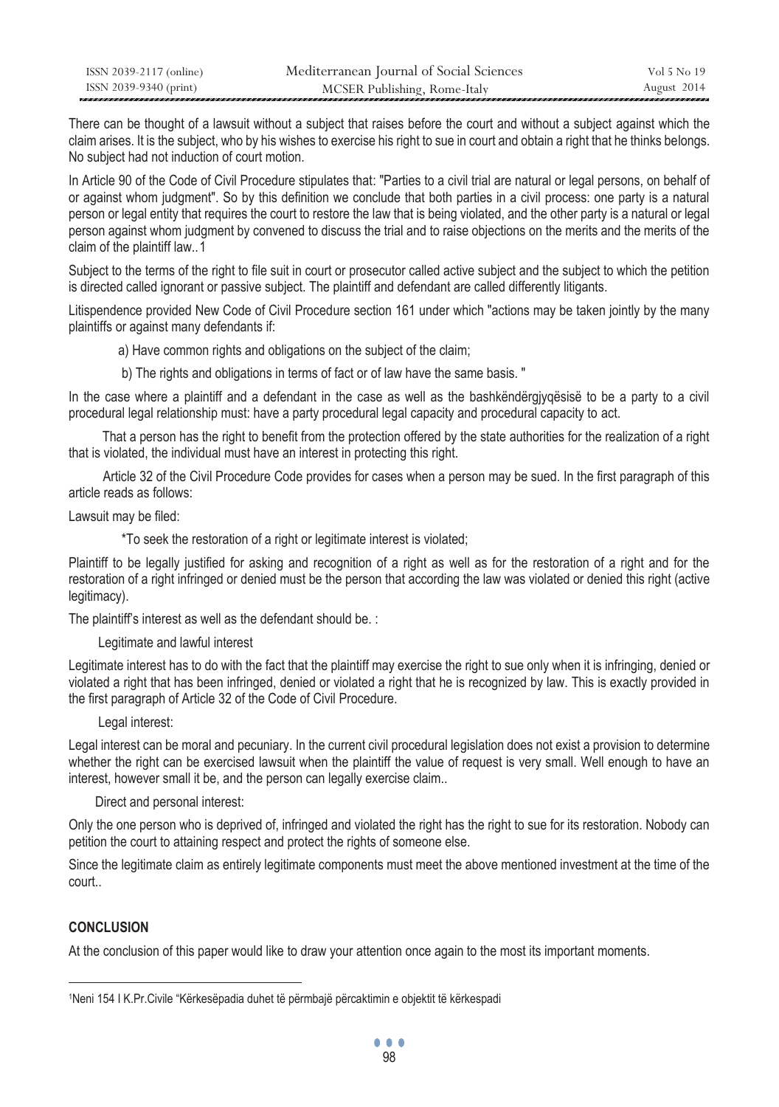| ISSN 2039-2117 (online) | Mediterranean Journal of Social Sciences | Vol 5 No 19 |
|-------------------------|------------------------------------------|-------------|
| ISSN 2039-9340 (print)  | MCSER Publishing, Rome-Italy             | August 2014 |

There can be thought of a lawsuit without a subject that raises before the court and without a subject against which the claim arises. It is the subject, who by his wishes to exercise his right to sue in court and obtain a right that he thinks belongs. No subject had not induction of court motion.

In Article 90 of the Code of Civil Procedure stipulates that: "Parties to a civil trial are natural or legal persons, on behalf of or against whom judgment". So by this definition we conclude that both parties in a civil process: one party is a natural person or legal entity that requires the court to restore the law that is being violated, and the other party is a natural or legal person against whom judgment by convened to discuss the trial and to raise objections on the merits and the merits of the claim of the plaintiff law..1

Subject to the terms of the right to file suit in court or prosecutor called active subject and the subject to which the petition is directed called ignorant or passive subject. The plaintiff and defendant are called differently litigants.

Litispendence provided New Code of Civil Procedure section 161 under which "actions may be taken jointly by the many plaintiffs or against many defendants if:

a) Have common rights and obligations on the subject of the claim;

b) The rights and obligations in terms of fact or of law have the same basis. "

In the case where a plaintiff and a defendant in the case as well as the bashkëndërgjyqësisë to be a party to a civil procedural legal relationship must: have a party procedural legal capacity and procedural capacity to act.

 That a person has the right to benefit from the protection offered by the state authorities for the realization of a right that is violated, the individual must have an interest in protecting this right.

 Article 32 of the Civil Procedure Code provides for cases when a person may be sued. In the first paragraph of this article reads as follows:

Lawsuit may be filed:

\*To seek the restoration of a right or legitimate interest is violated;

Plaintiff to be legally justified for asking and recognition of a right as well as for the restoration of a right and for the restoration of a right infringed or denied must be the person that according the law was violated or denied this right (active legitimacy).

The plaintiff's interest as well as the defendant should be. :

Legitimate and lawful interest

Legitimate interest has to do with the fact that the plaintiff may exercise the right to sue only when it is infringing, denied or violated a right that has been infringed, denied or violated a right that he is recognized by law. This is exactly provided in the first paragraph of Article 32 of the Code of Civil Procedure.

Legal interest:

Legal interest can be moral and pecuniary. In the current civil procedural legislation does not exist a provision to determine whether the right can be exercised lawsuit when the plaintiff the value of request is very small. Well enough to have an interest, however small it be, and the person can legally exercise claim..

Direct and personal interest:

Only the one person who is deprived of, infringed and violated the right has the right to sue for its restoration. Nobody can petition the court to attaining respect and protect the rights of someone else.

Since the legitimate claim as entirely legitimate components must meet the above mentioned investment at the time of the court..

## **CONCLUSION**

 $\overline{a}$ 

At the conclusion of this paper would like to draw your attention once again to the most its important moments.

<sup>1</sup>Neni 154 I K.Pr.Civile "Kërkesëpadia duhet të përmbajë përcaktimin e objektit të kërkespadi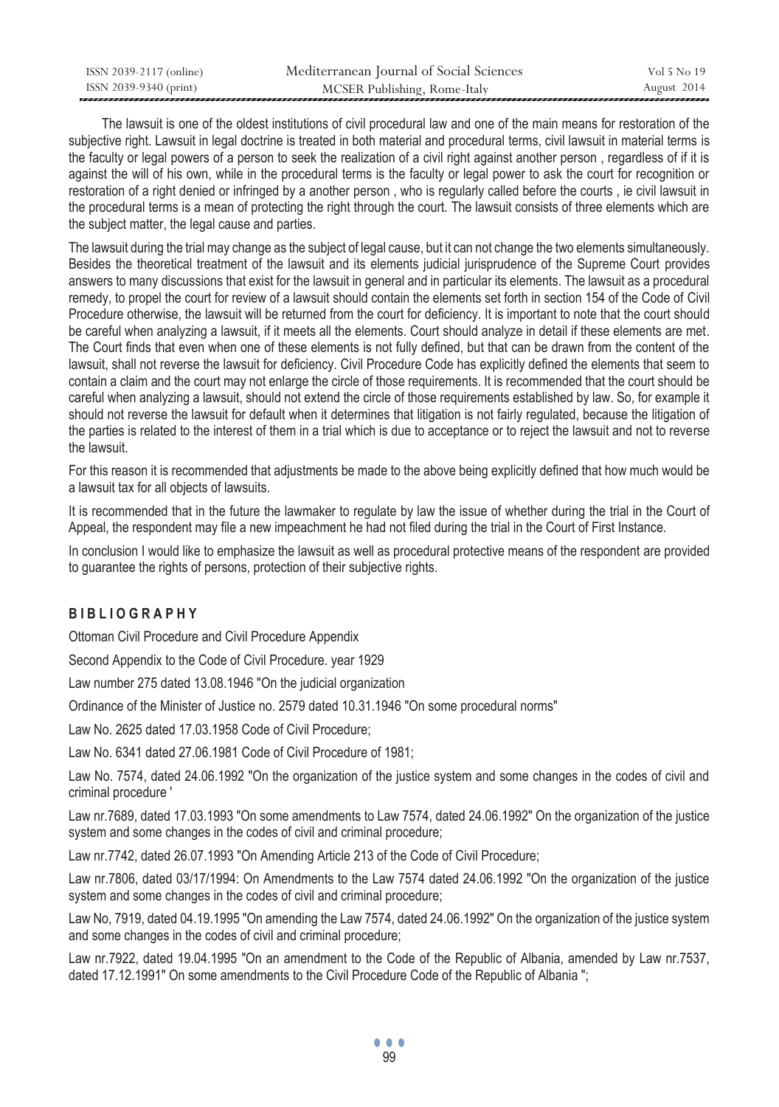| ISSN 2039-2117 (online) | Mediterranean Journal of Social Sciences | Vol 5 No 19 |
|-------------------------|------------------------------------------|-------------|
| ISSN 2039-9340 (print)  | MCSER Publishing, Rome-Italy             | August 2014 |

 The lawsuit is one of the oldest institutions of civil procedural law and one of the main means for restoration of the subjective right. Lawsuit in legal doctrine is treated in both material and procedural terms, civil lawsuit in material terms is the faculty or legal powers of a person to seek the realization of a civil right against another person , regardless of if it is against the will of his own, while in the procedural terms is the faculty or legal power to ask the court for recognition or restoration of a right denied or infringed by a another person , who is regularly called before the courts , ie civil lawsuit in the procedural terms is a mean of protecting the right through the court. The lawsuit consists of three elements which are the subject matter, the legal cause and parties.

The lawsuit during the trial may change as the subject of legal cause, but it can not change the two elements simultaneously. Besides the theoretical treatment of the lawsuit and its elements judicial jurisprudence of the Supreme Court provides answers to many discussions that exist for the lawsuit in general and in particular its elements. The lawsuit as a procedural remedy, to propel the court for review of a lawsuit should contain the elements set forth in section 154 of the Code of Civil Procedure otherwise, the lawsuit will be returned from the court for deficiency. It is important to note that the court should be careful when analyzing a lawsuit, if it meets all the elements. Court should analyze in detail if these elements are met. The Court finds that even when one of these elements is not fully defined, but that can be drawn from the content of the lawsuit, shall not reverse the lawsuit for deficiency. Civil Procedure Code has explicitly defined the elements that seem to contain a claim and the court may not enlarge the circle of those requirements. It is recommended that the court should be careful when analyzing a lawsuit, should not extend the circle of those requirements established by law. So, for example it should not reverse the lawsuit for default when it determines that litigation is not fairly regulated, because the litigation of the parties is related to the interest of them in a trial which is due to acceptance or to reject the lawsuit and not to reverse the lawsuit.

For this reason it is recommended that adjustments be made to the above being explicitly defined that how much would be a lawsuit tax for all objects of lawsuits.

It is recommended that in the future the lawmaker to regulate by law the issue of whether during the trial in the Court of Appeal, the respondent may file a new impeachment he had not filed during the trial in the Court of First Instance.

In conclusion I would like to emphasize the lawsuit as well as procedural protective means of the respondent are provided to guarantee the rights of persons, protection of their subjective rights.

## **B I B L I O G R A P H Y**

Ottoman Civil Procedure and Civil Procedure Appendix

Second Appendix to the Code of Civil Procedure. year 1929

Law number 275 dated 13.08.1946 "On the judicial organization

Ordinance of the Minister of Justice no. 2579 dated 10.31.1946 "On some procedural norms"

Law No. 2625 dated 17.03.1958 Code of Civil Procedure;

Law No. 6341 dated 27.06.1981 Code of Civil Procedure of 1981;

Law No. 7574, dated 24.06.1992 "On the organization of the justice system and some changes in the codes of civil and criminal procedure '

Law nr.7689, dated 17.03.1993 "On some amendments to Law 7574, dated 24.06.1992" On the organization of the justice system and some changes in the codes of civil and criminal procedure;

Law nr.7742, dated 26.07.1993 "On Amending Article 213 of the Code of Civil Procedure;

Law nr.7806, dated 03/17/1994: On Amendments to the Law 7574 dated 24.06.1992 "On the organization of the justice system and some changes in the codes of civil and criminal procedure;

Law No, 7919, dated 04.19.1995 "On amending the Law 7574, dated 24.06.1992" On the organization of the justice system and some changes in the codes of civil and criminal procedure;

Law nr.7922, dated 19.04.1995 "On an amendment to the Code of the Republic of Albania, amended by Law nr.7537, dated 17.12.1991" On some amendments to the Civil Procedure Code of the Republic of Albania ";